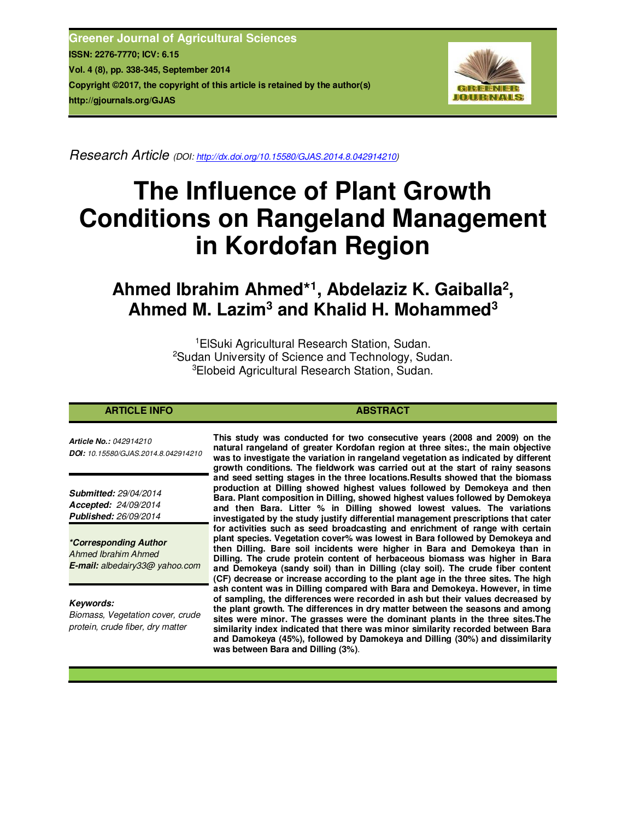**Greener Journal of Agricultural Sciences ISSN: 2276-7770; ICV: 6.15 Vol. 4 (8), pp. 338-345, September 2014 Copyright ©2017, the copyright of this article is retained by the author(s) http://gjournals.org/GJAS**



*Research Article (DOI: http://dx.doi.org/10.15580/GJAS.2014.8.042914210)*

# **The Influence of Plant Growth Conditions on Rangeland Management in Kordofan Region**

## **Ahmed Ibrahim Ahmed\*<sup>1</sup> , Abdelaziz K. Gaiballa<sup>2</sup> , Ahmed M. Lazim<sup>3</sup> and Khalid H. Mohammed<sup>3</sup>**

<sup>1</sup>ElSuki Agricultural Research Station, Sudan. <sup>2</sup>Sudan University of Science and Technology, Sudan. <sup>3</sup>Elobeid Agricultural Research Station, Sudan.

### **ARTICLE INFO ABSTRACT ABSTRACT**

*Article No.: 042914210 DOI: 10.15580/GJAS.2014.8.042914210*

*Submitted: 29/04/2014 Accepted: 24/09/2014 Published: 26/09/2014*

*\*Corresponding Author Ahmed Ibrahim Ahmed E-mail: albedairy33@ yahoo.com*

#### *Keywords:*

*Biomass, Vegetation cover, crude protein, crude fiber, dry matter*

**This study was conducted for two consecutive years (2008 and 2009) on the natural rangeland of greater Kordofan region at three sites:, the main objective was to investigate the variation in rangeland vegetation as indicated by different growth conditions. The fieldwork was carried out at the start of rainy seasons and seed setting stages in the three locations.Results showed that the biomass production at Dilling showed highest values followed by Demokeya and then Bara. Plant composition in Dilling, showed highest values followed by Demokeya and then Bara. Litter % in Dilling showed lowest values. The variations investigated by the study justify differential management prescriptions that cater for activities such as seed broadcasting and enrichment of range with certain plant species. Vegetation cover% was lowest in Bara followed by Demokeya and then Dilling. Bare soil incidents were higher in Bara and Demokeya than in Dilling. The crude protein content of herbaceous biomass was higher in Bara and Demokeya (sandy soil) than in Dilling (clay soil). The crude fiber content (CF) decrease or increase according to the plant age in the three sites. The high ash content was in Dilling compared with Bara and Demokeya. However, in time of sampling, the differences were recorded in ash but their values decreased by the plant growth. The differences in dry matter between the seasons and among sites were minor. The grasses were the dominant plants in the three sites.The similarity index indicated that there was minor similarity recorded between Bara and Damokeya (45%), followed by Damokeya and Dilling (30%) and dissimilarity was between Bara and Dilling (3%)**.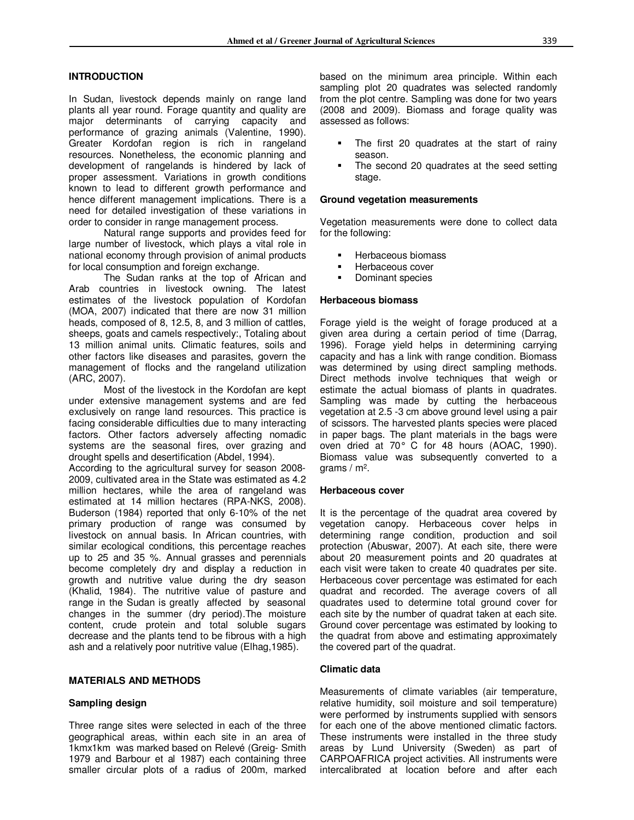#### **INTRODUCTION**

In Sudan, livestock depends mainly on range land plants all year round. Forage quantity and quality are major determinants of carrying capacity and performance of grazing animals (Valentine, 1990). Greater Kordofan region is rich in rangeland resources. Nonetheless, the economic planning and development of rangelands is hindered by lack of proper assessment. Variations in growth conditions known to lead to different growth performance and hence different management implications. There is a need for detailed investigation of these variations in order to consider in range management process.

Natural range supports and provides feed for large number of livestock, which plays a vital role in national economy through provision of animal products for local consumption and foreign exchange.

The Sudan ranks at the top of African and Arab countries in livestock owning. The latest estimates of the livestock population of Kordofan (MOA, 2007) indicated that there are now 31 million heads, composed of 8, 12.5, 8, and 3 million of cattles, sheeps, goats and camels respectively:, Totaling about 13 million animal units. Climatic features, soils and other factors like diseases and parasites, govern the management of flocks and the rangeland utilization (ARC, 2007).

Most of the livestock in the Kordofan are kept under extensive management systems and are fed exclusively on range land resources. This practice is facing considerable difficulties due to many interacting factors. Other factors adversely affecting nomadic systems are the seasonal fires, over grazing and drought spells and desertification (Abdel, 1994).

According to the agricultural survey for season 2008- 2009, cultivated area in the State was estimated as 4.2 million hectares, while the area of rangeland was estimated at 14 million hectares (RPA-NKS, 2008). Buderson (1984) reported that only 6-10% of the net primary production of range was consumed by livestock on annual basis. In African countries, with similar ecological conditions, this percentage reaches up to 25 and 35 %. Annual grasses and perennials become completely dry and display a reduction in growth and nutritive value during the dry season (Khalid, 1984). The nutritive value of pasture and range in the Sudan is greatly affected by seasonal changes in the summer (dry period).The moisture content, crude protein and total soluble sugars decrease and the plants tend to be fibrous with a high ash and a relatively poor nutritive value (Elhag,1985).

#### **MATERIALS AND METHODS**

#### **Sampling design**

Three range sites were selected in each of the three geographical areas, within each site in an area of 1kmx1km was marked based on Relevé (Greig- Smith 1979 and Barbour et al 1987) each containing three smaller circular plots of a radius of 200m, marked based on the minimum area principle. Within each sampling plot 20 quadrates was selected randomly from the plot centre. Sampling was done for two years (2008 and 2009). Biomass and forage quality was assessed as follows:

- The first 20 quadrates at the start of rainy season.
- The second 20 quadrates at the seed setting stage.

#### **Ground vegetation measurements**

Vegetation measurements were done to collect data for the following:

- Herbaceous biomass
- Herbaceous cover
- Dominant species

#### **Herbaceous biomass**

Forage yield is the weight of forage produced at a given area during a certain period of time (Darrag, 1996). Forage yield helps in determining carrying capacity and has a link with range condition. Biomass was determined by using direct sampling methods. Direct methods involve techniques that weigh or estimate the actual biomass of plants in quadrates. Sampling was made by cutting the herbaceous vegetation at 2.5 -3 cm above ground level using a pair of scissors. The harvested plants species were placed in paper bags. The plant materials in the bags were oven dried at 70° C for 48 hours (AOAC, 1990). Biomass value was subsequently converted to a grams / m<sup>2</sup> .

#### **Herbaceous cover**

It is the percentage of the quadrat area covered by vegetation canopy. Herbaceous cover helps in determining range condition, production and soil protection (Abuswar, 2007). At each site, there were about 20 measurement points and 20 quadrates at each visit were taken to create 40 quadrates per site. Herbaceous cover percentage was estimated for each quadrat and recorded. The average covers of all quadrates used to determine total ground cover for each site by the number of quadrat taken at each site. Ground cover percentage was estimated by looking to the quadrat from above and estimating approximately the covered part of the quadrat.

#### **Climatic data**

Measurements of climate variables (air temperature, relative humidity, soil moisture and soil temperature) were performed by instruments supplied with sensors for each one of the above mentioned climatic factors. These instruments were installed in the three study areas by Lund University (Sweden) as part of CARPOAFRICA project activities. All instruments were intercalibrated at location before and after each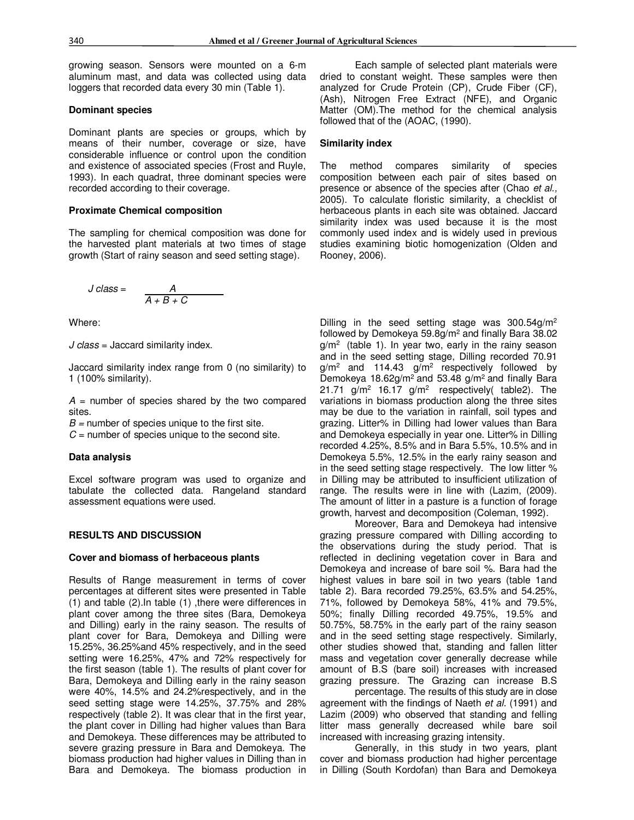growing season. Sensors were mounted on a 6-m aluminum mast, and data was collected using data loggers that recorded data every 30 min (Table 1).

#### **Dominant species**

Dominant plants are species or groups, which by means of their number, coverage or size, have considerable influence or control upon the condition and existence of associated species (Frost and Ruyle, 1993). In each quadrat, three dominant species were recorded according to their coverage.

#### **Proximate Chemical composition**

The sampling for chemical composition was done for the harvested plant materials at two times of stage growth (Start of rainy season and seed setting stage).

$$
J \text{ class} = \frac{A}{A + B + C}
$$

Where:

*J class* = Jaccard similarity index.

Jaccard similarity index range from 0 (no similarity) to 1 (100% similarity).

*A* = number of species shared by the two compared sites.

*B =* number of species unique to the first site.

 $C =$  number of species unique to the second site.

#### **Data analysis**

Excel software program was used to organize and tabulate the collected data. Rangeland standard assessment equations were used.

#### **RESULTS AND DISCUSSION**

#### **Cover and biomass of herbaceous plants**

Results of Range measurement in terms of cover percentages at different sites were presented in Table (1) and table (2).In table (1) ,there were differences in plant cover among the three sites (Bara, Demokeya and Dilling) early in the rainy season. The results of plant cover for Bara, Demokeya and Dilling were 15.25%, 36.25%and 45% respectively, and in the seed setting were 16.25%, 47% and 72% respectively for the first season (table 1). The results of plant cover for Bara, Demokeya and Dilling early in the rainy season were 40%, 14.5% and 24.2%respectively, and in the seed setting stage were 14.25%, 37.75% and 28% respectively (table 2). It was clear that in the first year, the plant cover in Dilling had higher values than Bara and Demokeya. These differences may be attributed to severe grazing pressure in Bara and Demokeya. The biomass production had higher values in Dilling than in Bara and Demokeya. The biomass production in

Each sample of selected plant materials were dried to constant weight. These samples were then analyzed for Crude Protein (CP), Crude Fiber (CF), (Ash), Nitrogen Free Extract (NFE), and Organic Matter (OM).The method for the chemical analysis followed that of the (AOAC, (1990).

#### **Similarity index**

The method compares similarity of species composition between each pair of sites based on presence or absence of the species after (Chao *et al.,* 2005). To calculate floristic similarity, a checklist of herbaceous plants in each site was obtained. Jaccard similarity index was used because it is the most commonly used index and is widely used in previous studies examining biotic homogenization (Olden and Rooney, 2006).

Dilling in the seed setting stage was 300.54g/m<sup>2</sup> followed by Demokeya 59.8g/m<sup>2</sup> and finally Bara 38.02  $g/m^2$  (table 1). In year two, early in the rainy season and in the seed setting stage, Dilling recorded 70.91  $g/m^2$  and 114.43  $g/m^2$  respectively followed by Demokeya 18.62 $g/m^2$  and 53.48  $g/m^2$  and finally Bara 21.71 g/m<sup>2</sup> 16.17 g/m<sup>2</sup> respectively( table2). The variations in biomass production along the three sites may be due to the variation in rainfall, soil types and grazing. Litter% in Dilling had lower values than Bara and Demokeya especially in year one. Litter% in Dilling recorded 4.25%, 8.5% and in Bara 5.5%, 10.5% and in Demokeya 5.5%, 12.5% in the early rainy season and in the seed setting stage respectively. The low litter % in Dilling may be attributed to insufficient utilization of range. The results were in line with (Lazim, (2009). The amount of litter in a pasture is a function of forage growth, harvest and decomposition (Coleman, 1992).

Moreover, Bara and Demokeya had intensive grazing pressure compared with Dilling according to the observations during the study period. That is reflected in declining vegetation cover in Bara and Demokeya and increase of bare soil %. Bara had the highest values in bare soil in two years (table 1and table 2). Bara recorded 79.25%, 63.5% and 54.25%, 71%, followed by Demokeya 58%, 41% and 79.5%, 50%; finally Dilling recorded 49.75%, 19.5% and 50.75%, 58.75% in the early part of the rainy season and in the seed setting stage respectively. Similarly, other studies showed that, standing and fallen litter mass and vegetation cover generally decrease while amount of B.S (bare soil) increases with increased grazing pressure. The Grazing can increase B.S

percentage. The results of this study are in close agreement with the findings of Naeth *et al.* (1991) and Lazim (2009) who observed that standing and felling litter mass generally decreased while bare soil increased with increasing grazing intensity.

Generally, in this study in two years, plant cover and biomass production had higher percentage in Dilling (South Kordofan) than Bara and Demokeya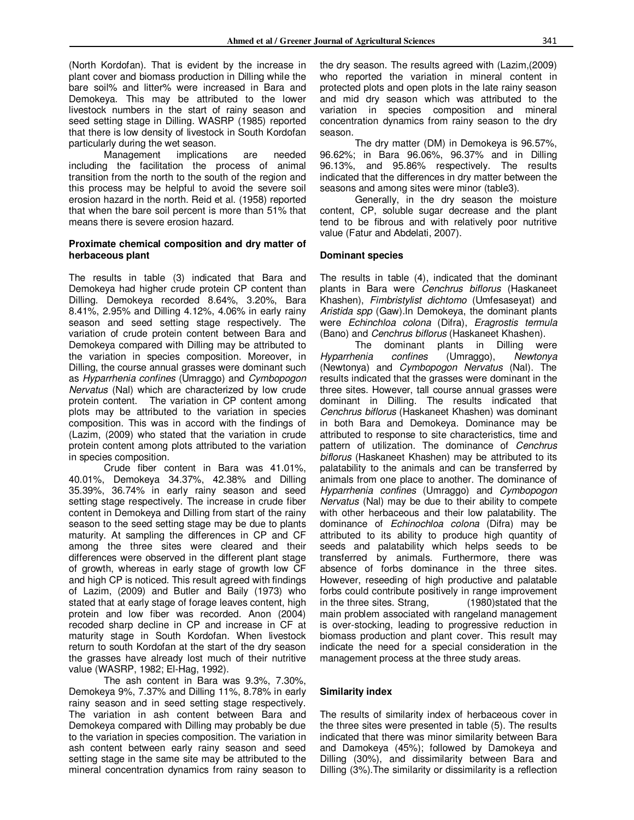(North Kordofan). That is evident by the increase in plant cover and biomass production in Dilling while the bare soil% and litter% were increased in Bara and Demokeya. This may be attributed to the lower livestock numbers in the start of rainy season and seed setting stage in Dilling. WASRP (1985) reported that there is low density of livestock in South Kordofan particularly during the wet season.

Management implications are needed including the facilitation the process of animal transition from the north to the south of the region and this process may be helpful to avoid the severe soil erosion hazard in the north. Reid et al. (1958) reported that when the bare soil percent is more than 51% that means there is severe erosion hazard.

#### **Proximate chemical composition and dry matter of herbaceous plant**

The results in table (3) indicated that Bara and Demokeya had higher crude protein CP content than Dilling. Demokeya recorded 8.64%, 3.20%, Bara 8.41%, 2.95% and Dilling 4.12%, 4.06% in early rainy season and seed setting stage respectively. The variation of crude protein content between Bara and Demokeya compared with Dilling may be attributed to the variation in species composition. Moreover, in Dilling, the course annual grasses were dominant such as *Hyparrhenia confines* (Umraggo) and *Cymbopogon Nervatus* (Nal) which are characterized by low crude protein content. The variation in CP content among plots may be attributed to the variation in species composition. This was in accord with the findings of (Lazim, (2009) who stated that the variation in crude protein content among plots attributed to the variation in species composition.

Crude fiber content in Bara was 41.01%, 40.01%, Demokeya 34.37%, 42.38% and Dilling 35.39%, 36.74% in early rainy season and seed setting stage respectively. The increase in crude fiber content in Demokeya and Dilling from start of the rainy season to the seed setting stage may be due to plants maturity. At sampling the differences in CP and CF among the three sites were cleared and their differences were observed in the different plant stage of growth, whereas in early stage of growth low CF and high CP is noticed. This result agreed with findings of Lazim, (2009) and Butler and Baily (1973) who stated that at early stage of forage leaves content, high protein and low fiber was recorded. Anon (2004) recoded sharp decline in CP and increase in CF at maturity stage in South Kordofan. When livestock return to south Kordofan at the start of the dry season the grasses have already lost much of their nutritive value (WASRP, 1982; El-Hag, 1992).

The ash content in Bara was 9.3%, 7.30%, Demokeya 9%, 7.37% and Dilling 11%, 8.78% in early rainy season and in seed setting stage respectively. The variation in ash content between Bara and Demokeya compared with Dilling may probably be due to the variation in species composition. The variation in ash content between early rainy season and seed setting stage in the same site may be attributed to the mineral concentration dynamics from rainy season to

the dry season. The results agreed with (Lazim,(2009) who reported the variation in mineral content in protected plots and open plots in the late rainy season and mid dry season which was attributed to the variation in species composition and mineral concentration dynamics from rainy season to the dry season.

The dry matter (DM) in Demokeya is 96.57%, 96.62%; in Bara 96.06%, 96.37% and in Dilling 96.13%, and 95.86% respectively. The results indicated that the differences in dry matter between the seasons and among sites were minor (table3).

Generally, in the dry season the moisture content, CP, soluble sugar decrease and the plant tend to be fibrous and with relatively poor nutritive value (Fatur and Abdelati, 2007).

#### **Dominant species**

The results in table (4), indicated that the dominant plants in Bara were *Cenchrus biflorus* (Haskaneet Khashen), *Fimbristylist dichtomo* (Umfesaseyat) and *Aristida spp* (Gaw).In Demokeya, the dominant plants were *Echinchloa colona* (Difra), *Eragrostis termula* (Bano) and *Cenchrus biflorus* (Haskaneet Khashen).

The dominant plants in Dilling were<br>Hyparrhenia confines (Umraggo), Newtonya confines (Umraggo), *Newtonya* (Newtonya) and *Cymbopogon Nervatus* (Nal). The results indicated that the grasses were dominant in the three sites. However, tall course annual grasses were dominant in Dilling. The results indicated that *Cenchrus biflorus* (Haskaneet Khashen) was dominant in both Bara and Demokeya. Dominance may be attributed to response to site characteristics, time and pattern of utilization. The dominance of *Cenchrus biflorus* (Haskaneet Khashen) may be attributed to its palatability to the animals and can be transferred by animals from one place to another. The dominance of *Hyparrhenia confines* (Umraggo) and *Cymbopogon Nervatus* (Nal) may be due to their ability to compete with other herbaceous and their low palatability. The dominance of *Echinochloa colona* (Difra) may be attributed to its ability to produce high quantity of seeds and palatability which helps seeds to be transferred by animals. Furthermore, there was absence of forbs dominance in the three sites. However, reseeding of high productive and palatable forbs could contribute positively in range improvement in the three sites. Strang, (1980)stated that the main problem associated with rangeland management is over-stocking, leading to progressive reduction in biomass production and plant cover. This result may indicate the need for a special consideration in the management process at the three study areas.

#### **Similarity index**

The results of similarity index of herbaceous cover in the three sites were presented in table (5). The results indicated that there was minor similarity between Bara and Damokeya (45%); followed by Damokeya and Dilling (30%), and dissimilarity between Bara and Dilling (3%).The similarity or dissimilarity is a reflection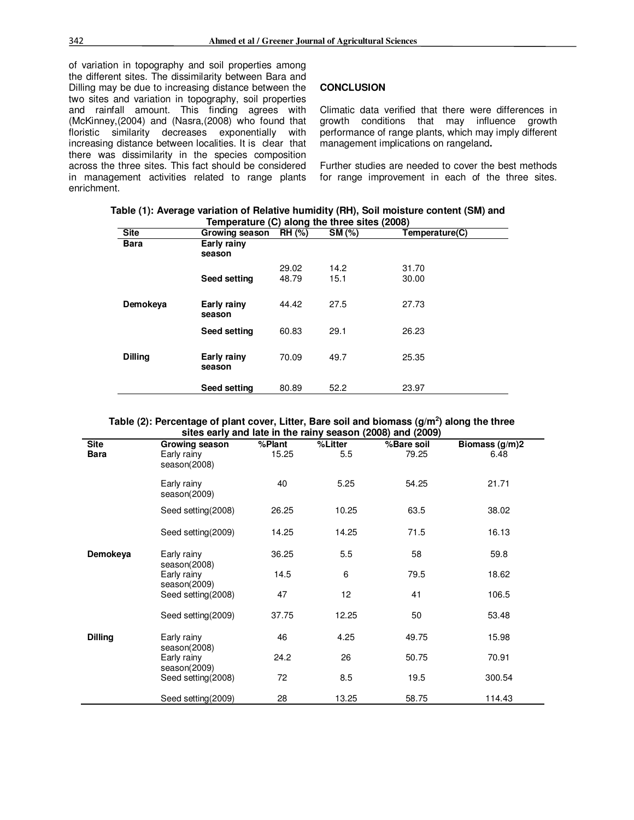of variation in topography and soil properties among the different sites. The dissimilarity between Bara and Dilling may be due to increasing distance between the two sites and variation in topography, soil properties and rainfall amount. This finding agrees with (McKinney,(2004) and (Nasra,(2008) who found that floristic similarity decreases exponentially with increasing distance between localities. It is clear that there was dissimilarity in the species composition across the three sites. This fact should be considered in management activities related to range plants enrichment.

#### **CONCLUSION**

Climatic data verified that there were differences in growth conditions that may influence growth performance of range plants, which may imply different management implications on rangeland**.** 

Further studies are needed to cover the best methods for range improvement in each of the three sites.

| Table (1): Average variation of Relative humidity (RH), Soil moisture content (SM) and |  |
|----------------------------------------------------------------------------------------|--|
| Temperature (C) along the three sites (2008)                                           |  |

| <b>Site</b>    | Growing season        | ÷<br>$\overline{RH}$ (%) | SM (%)       | Temperature(C) |
|----------------|-----------------------|--------------------------|--------------|----------------|
| <b>Bara</b>    | Early rainy<br>season |                          |              |                |
|                | <b>Seed setting</b>   | 29.02<br>48.79           | 14.2<br>15.1 | 31.70<br>30.00 |
| Demokeya       | Early rainy<br>season | 44.42                    | 27.5         | 27.73          |
|                | <b>Seed setting</b>   | 60.83                    | 29.1         | 26.23          |
| <b>Dilling</b> | Early rainy<br>season | 70.09                    | 49.7         | 25.35          |
|                | Seed setting          | 80.89                    | 52.2         | 23.97          |

#### **Table (2): Percentage of plant cover, Litter, Bare soil and biomass (g/m<sup>2</sup> ) along the three sites early and late in the rainy season (2008) and (2009)**

|                     |                                             |                 |                | $3000$ carry and late in the rainy $30000$ (2000) and (2003) |                          |
|---------------------|---------------------------------------------|-----------------|----------------|--------------------------------------------------------------|--------------------------|
| <b>Site</b><br>Bara | Growing season<br>Early rainy               | %Plant<br>15.25 | %Litter<br>5.5 | %Bare soil<br>79.25                                          | Biomass $(g/m)2$<br>6.48 |
|                     | season(2008)                                |                 |                |                                                              |                          |
|                     | Early rainy<br>season(2009)                 | 40              | 5.25           | 54.25                                                        | 21.71                    |
|                     | Seed setting (2008)                         | 26.25           | 10.25          | 63.5                                                         | 38.02                    |
|                     | Seed setting (2009)                         | 14.25           | 14.25          | 71.5                                                         | 16.13                    |
| Demokeya            | Early rainy<br>season(2008)                 | 36.25           | 5.5            | 58                                                           | 59.8                     |
|                     | Early rainy<br>season(2009)                 | 14.5            | 6              | 79.5                                                         | 18.62                    |
|                     | Seed setting (2008)                         | 47              | 12             | 41                                                           | 106.5                    |
|                     | Seed setting (2009)                         | 37.75           | 12.25          | 50                                                           | 53.48                    |
| <b>Dilling</b>      | Early rainy                                 | 46              | 4.25           | 49.75                                                        | 15.98                    |
|                     | season(2008)<br>Early rainy<br>season(2009) | 24.2            | 26             | 50.75                                                        | 70.91                    |
|                     | Seed setting (2008)                         | 72              | 8.5            | 19.5                                                         | 300.54                   |
|                     | Seed setting (2009)                         | 28              | 13.25          | 58.75                                                        | 114.43                   |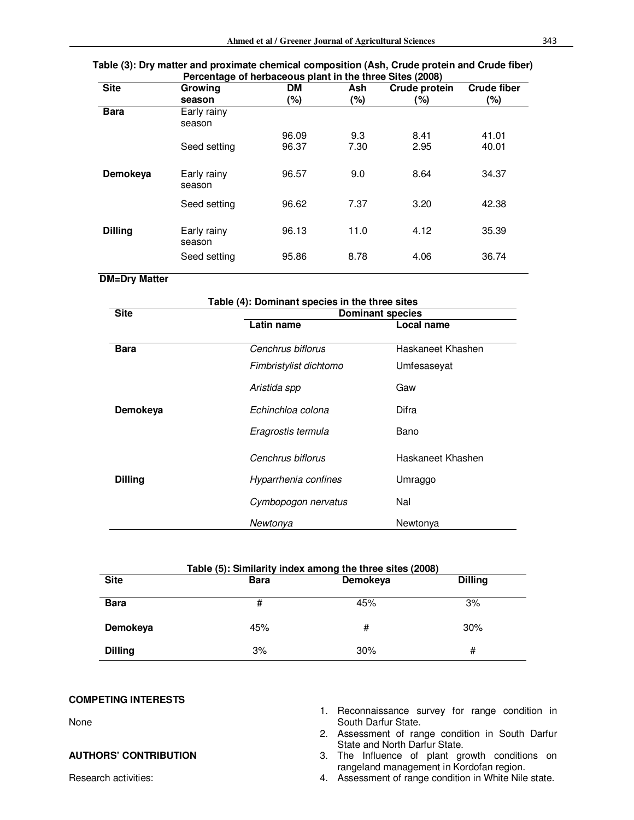#### **Table (3): Dry matter and proximate chemical composition (Ash, Crude protein and Crude fiber) Percentage of herbaceous plant in the three Sites (2008)**

| <b>Site</b>    | . <u>.</u><br>Growing | <b>DM</b> | Ash    | Crude protein | <b>Crude fiber</b> |
|----------------|-----------------------|-----------|--------|---------------|--------------------|
|                | season                | $(\% )$   | $(\%)$ | $(\% )$       | (%)                |
| <b>Bara</b>    | Early rainy<br>season |           |        |               |                    |
|                |                       | 96.09     | 9.3    | 8.41          | 41.01              |
|                | Seed setting          | 96.37     | 7.30   | 2.95          | 40.01              |
| Demokeya       | Early rainy<br>season | 96.57     | 9.0    | 8.64          | 34.37              |
|                | Seed setting          | 96.62     | 7.37   | 3.20          | 42.38              |
| <b>Dilling</b> | Early rainy<br>season | 96.13     | 11.0   | 4.12          | 35.39              |
|                | Seed setting          | 95.86     | 8.78   | 4.06          | 36.74              |

#### **DM=Dry Matter**

| Table (4): Dominant species in the three sites |                         |                   |  |  |
|------------------------------------------------|-------------------------|-------------------|--|--|
| <b>Site</b>                                    | <b>Dominant species</b> |                   |  |  |
|                                                | Latin name              | Local name        |  |  |
|                                                |                         |                   |  |  |
| <b>Bara</b>                                    | Cenchrus biflorus       | Haskaneet Khashen |  |  |
|                                                | Fimbristylist dichtomo  | Umfesaseyat       |  |  |
|                                                | Aristida spp            | Gaw               |  |  |
| Demokeya                                       | Echinchloa colona       | Difra             |  |  |
|                                                | Eragrostis termula      | Bano              |  |  |
|                                                | Cenchrus biflorus       | Haskaneet Khashen |  |  |
| <b>Dilling</b>                                 | Hyparrhenia confines    | Umraggo           |  |  |
|                                                | Cymbopogon nervatus     | Nal               |  |  |
|                                                | Newtonya                | Newtonya          |  |  |

| Table (5): Similarity index among the three sites (2008) |             |          |                |  |  |
|----------------------------------------------------------|-------------|----------|----------------|--|--|
| <b>Site</b>                                              | <b>Bara</b> | Demokeya | <b>Dilling</b> |  |  |
| <b>Bara</b>                                              | #           | 45%      | 3%             |  |  |
| Demokeya                                                 | 45%         | #        | 30%            |  |  |
| <b>Dilling</b>                                           | 3%          | 30%      | #              |  |  |

#### **COMPETING INTERESTS**

None

#### **AUTHORS' CONTRIBUTION**

Research activities:

- 1. Reconnaissance survey for range condition in South Darfur State.
- 2. Assessment of range condition in South Darfur State and North Darfur State.
- 3. The Influence of plant growth conditions on rangeland management in Kordofan region.
- 4. Assessment of range condition in White Nile state.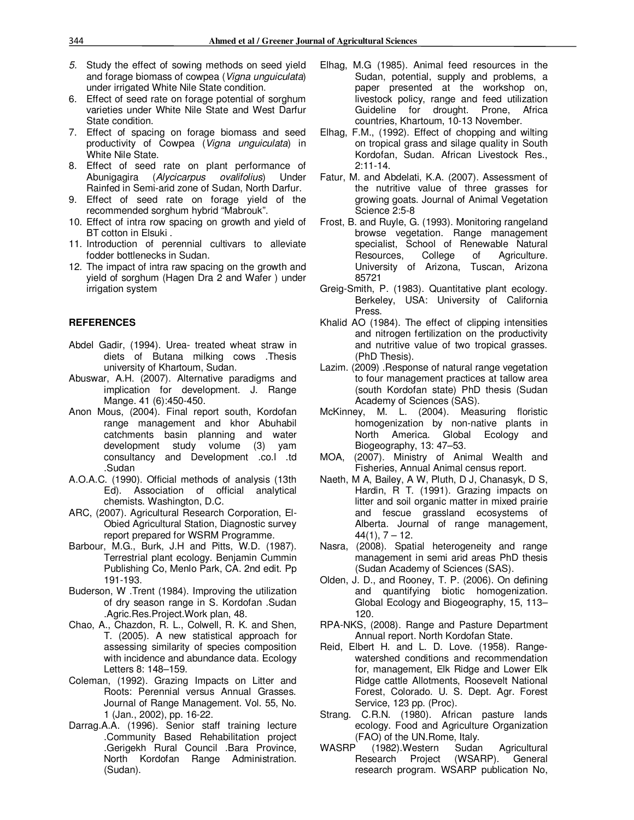- *5.* Study the effect of sowing methods on seed yield and forage biomass of cowpea (*Vigna unguiculata*) under irrigated White Nile State condition.
- 6. Effect of seed rate on forage potential of sorghum varieties under White Nile State and West Darfur State condition.
- 7. Effect of spacing on forage biomass and seed productivity of Cowpea (*Vigna unguiculata*) in White Nile State.
- 8. Effect of seed rate on plant performance of Abunigagira (*Alycicarpus ovalifolius*) Under Rainfed in Semi-arid zone of Sudan, North Darfur.
- 9. Effect of seed rate on forage yield of the recommended sorghum hybrid "Mabrouk".
- 10. Effect of intra row spacing on growth and yield of BT cotton in Elsuki .
- 11. Introduction of perennial cultivars to alleviate fodder bottlenecks in Sudan.
- 12. The impact of intra raw spacing on the growth and yield of sorghum (Hagen Dra 2 and Wafer ) under irrigation system

#### **REFERENCES**

- Abdel Gadir, (1994). Urea- treated wheat straw in diets of Butana milking cows .Thesis university of Khartoum, Sudan.
- Abuswar, A.H. (2007). Alternative paradigms and implication for development. J. Range Mange. 41 (6):450-450.
- Anon Mous, (2004). Final report south, Kordofan range management and khor Abuhabil catchments basin planning and water development study volume (3) yam consultancy and Development .co.l .td .Sudan
- A.O.A.C. (1990). Official methods of analysis (13th Ed). Association of official analytical chemists. Washington, D.C.
- ARC, (2007). Agricultural Research Corporation, El-Obied Agricultural Station, Diagnostic survey report prepared for WSRM Programme.
- Barbour, M.G., Burk, J.H and Pitts, W.D. (1987). Terrestrial plant ecology. Benjamin Cummin Publishing Co, Menlo Park, CA. 2nd edit. Pp 191-193.
- Buderson, W .Trent (1984). Improving the utilization of dry season range in S. Kordofan .Sudan .Agric.Res.Project.Work plan, 48.
- Chao, A., Chazdon, R. L., Colwell, R. K. and Shen, T. (2005). A new statistical approach for assessing similarity of species composition with incidence and abundance data. Ecology Letters 8: 148–159.
- Coleman, (1992). Grazing Impacts on Litter and Roots: Perennial versus Annual Grasses. Journal of Range Management. Vol. 55, No. 1 (Jan., 2002), pp. 16-22.
- Darrag.A.A. (1996). Senior staff training lecture .Community Based Rehabilitation project .Gerigekh Rural Council .Bara Province, North Kordofan Range Administration. (Sudan).
- Elhag, M.G (1985). Animal feed resources in the Sudan, potential, supply and problems, a paper presented at the workshop on, livestock policy, range and feed utilization Guideline for drought. Prone, Africa countries, Khartoum, 10-13 November.
- Elhag, F.M., (1992). Effect of chopping and wilting on tropical grass and silage quality in South Kordofan, Sudan. African Livestock Res., 2:11-14.
- Fatur, M. and Abdelati, K.A. (2007). Assessment of the nutritive value of three grasses for growing goats. Journal of Animal Vegetation Science 2:5-8
- Frost, B. and Ruyle, G. (1993). Monitoring rangeland browse vegetation. Range management specialist, School of Renewable Natural Resources, College of Agriculture. University of Arizona, Tuscan, Arizona 85721
- Greig-Smith, P. (1983). Quantitative plant ecology. Berkeley, USA: University of California Press.
- Khalid AO (1984). The effect of clipping intensities and nitrogen fertilization on the productivity and nutritive value of two tropical grasses. (PhD Thesis).
- Lazim. (2009) .Response of natural range vegetation to four management practices at tallow area (south Kordofan state) PhD thesis (Sudan Academy of Sciences (SAS).
- McKinney, M. L. (2004). Measuring floristic homogenization by non-native plants in North America. Global Ecology and Biogeography, 13: 47–53.
- MOA, (2007). Ministry of Animal Wealth and Fisheries, Annual Animal census report.
- Naeth, M A, Bailey, A W, Pluth, D J, Chanasyk, D S, Hardin, R T. (1991). Grazing impacts on litter and soil organic matter in mixed prairie and fescue grassland ecosystems of Alberta. Journal of range management,  $44(1), 7 - 12.$
- Nasra, (2008). Spatial heterogeneity and range management in semi arid areas PhD thesis (Sudan Academy of Sciences (SAS).
- Olden, J. D., and Rooney, T. P. (2006). On defining and quantifying biotic homogenization. Global Ecology and Biogeography, 15, 113– 120.
- RPA-NKS, (2008). Range and Pasture Department Annual report. North Kordofan State.
- Reid, Elbert H. and L. D. Love. (1958). Rangewatershed conditions and recommendation for, management, Elk Ridge and Lower Elk Ridge cattle Allotments, Roosevelt National Forest, Colorado. U. S. Dept. Agr. Forest Service, 123 pp. (Proc).
- Strang. C.R.N. (1980). African pasture lands ecology. Food and Agriculture Organization (FAO) of the UN. Rome, Italy.<br>WASRP (1982). Western Sudar
- (1982).Western Sudan Agricultural Research Project (WSARP). General research program. WSARP publication No,